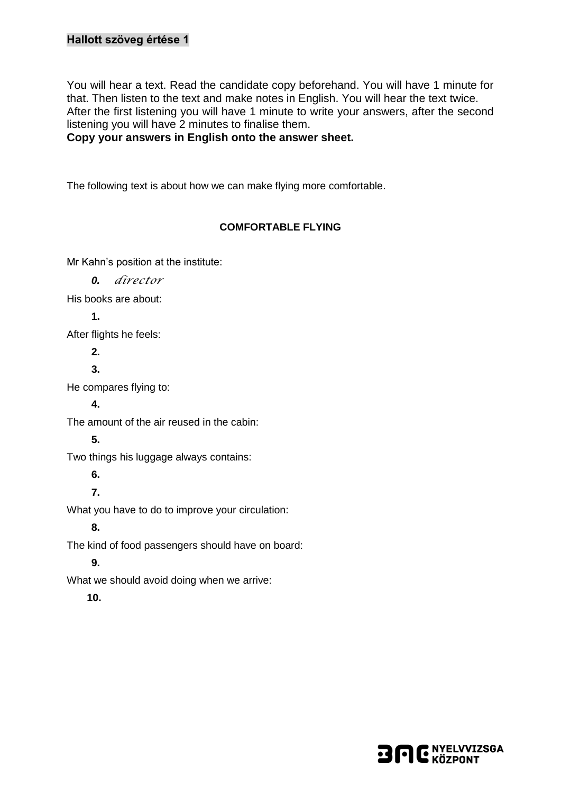### **Hallott szöveg értése 1**

You will hear a text. Read the candidate copy beforehand. You will have 1 minute for that. Then listen to the text and make notes in English. You will hear the text twice. After the first listening you will have 1 minute to write your answers, after the second listening you will have 2 minutes to finalise them.

**Copy your answers in English onto the answer sheet.**

The following text is about how we can make flying more comfortable.

#### **COMFORTABLE FLYING**

Mr Kahn's position at the institute:

*0. director*

His books are about:

**1.** 

After flights he feels:

**2.**

**3.**

He compares flying to:

**4.**

The amount of the air reused in the cabin:

#### **5.**

Two things his luggage always contains:

**6.**

**7.**

What you have to do to improve your circulation:

**8.**

The kind of food passengers should have on board:

**9.**

What we should avoid doing when we arrive:

**10.**